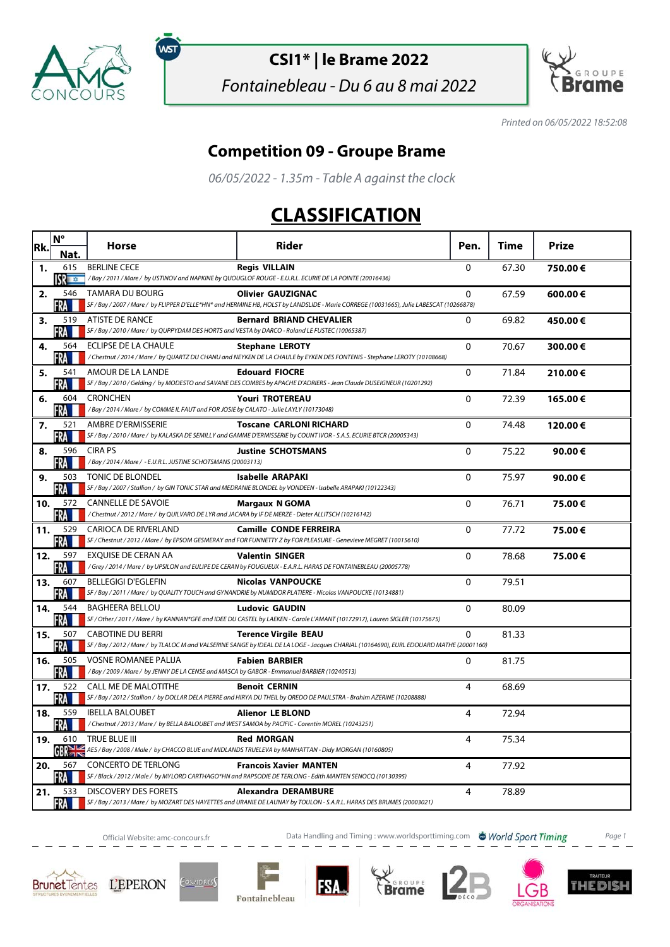

์พร

## **CSI1\* | le Brame 2022**

Fontainebleau - Du 6 au 8 mai 2022



Printed on 06/05/2022 18:52:08

## **Competition 09 - Groupe Brame**

06/05/2022 - 1.35m - Table A against the clock

## **CLASSIFICATION**

| Rk. | $N^{\circ}$           | <b>Horse</b>                                                                                                                     | Rider                                                                                                                                                                   | Pen.         | Time  | Prize   |
|-----|-----------------------|----------------------------------------------------------------------------------------------------------------------------------|-------------------------------------------------------------------------------------------------------------------------------------------------------------------------|--------------|-------|---------|
|     | Nat.                  |                                                                                                                                  |                                                                                                                                                                         |              |       |         |
| 1.  | 615<br><b>SPECTOR</b> | <b>BERLINE CECE</b>                                                                                                              | <b>Regis VILLAIN</b><br>/Bay/2011/Mare/ by USTINOV and NAPKINE by QUOUGLOF ROUGE - E.U.R.L. ECURIE DE LA POINTE (20016436)                                              | $\Omega$     | 67.30 | 750.00€ |
| 2.  | 546<br>FRA III        | <b>TAMARA DU BOURG</b>                                                                                                           | <b>Olivier GAUZIGNAC</b><br>SF / Bay / 2007 / Mare / by FLIPPER D'ELLE*HN* and HERMINE HB, HOLST by LANDSLIDE - Marie CORREGE (10031665), Julie LABESCAT (10266878)     | 0            | 67.59 | 600.00€ |
| з.  | 519<br>FRA            | ATISTE DE RANCE<br>SF / Bay / 2010 / Mare / by QUPPYDAM DES HORTS and VESTA by DARCO - Roland LE FUSTEC (10065387)               | <b>Bernard BRIAND CHEVALIER</b>                                                                                                                                         | 0            | 69.82 | 450.00€ |
| 4.  | 564<br>FRA            | ECLIPSE DE LA CHAULE                                                                                                             | <b>Stephane LEROTY</b><br>/ Chestnut / 2014 / Mare / by QUARTZ DU CHANU and NEYKEN DE LA CHAULE by EYKEN DES FONTENIS - Stephane LEROTY (10108668)                      | $\mathbf{0}$ | 70.67 | 300.00€ |
| 5.  | 541<br>FRA III        | AMOUR DE LA LANDE                                                                                                                | <b>Edouard FIOCRE</b><br>SF / Bay / 2010 / Gelding / by MODESTO and SAVANE DES COMBES by APACHE D'ADRIERS - Jean Claude DUSEIGNEUR (10201292)                           | 0            | 71.84 | 210.00€ |
| 6.  | 604<br>FRA            | <b>CRONCHEN</b><br>/Bay / 2014 / Mare / by COMME IL FAUT and FOR JOSIE by CALATO - Julie LAYLY (10173048)                        | <b>Youri TROTEREAU</b>                                                                                                                                                  | 0            | 72.39 | 165.00€ |
| 7.  | 521<br>FRA            | AMBRE D'ERMISSERIE                                                                                                               | <b>Toscane CARLONI RICHARD</b><br>SF / Bay / 2010 / Mare / by KALASKA DE SEMILLY and GAMME D'ERMISSERIE by COUNT IVOR - S.A.S. ECURIE BTCR (20005343)                   | $\mathbf{0}$ | 74.48 | 120.00€ |
| 8.  | 596<br>FRA III        | <b>CIRA PS</b><br>/Bay / 2014 / Mare / - E.U.R.L. JUSTINE SCHOTSMANS (20003113)                                                  | <b>Justine SCHOTSMANS</b>                                                                                                                                               | 0            | 75.22 | 90.00€  |
| 9.  | 503<br>FRA            | TONIC DE BLONDEL                                                                                                                 | <b>Isabelle ARAPAKI</b><br>SF / Bay / 2007 / Stallion / by GIN TONIC STAR and MEDRANIE BLONDEL by VONDEEN - Isabelle ARAPAKI (10122343)                                 | $\Omega$     | 75.97 | 90.00€  |
| 10. | 572<br>FRA III        | <b>CANNELLE DE SAVOIE</b><br>/Chestnut / 2012 / Mare / by QUILVARO DE LYR and JACARA by IF DE MERZE - Dieter ALLITSCH (10216142) | <b>Margaux N GOMA</b>                                                                                                                                                   | $\Omega$     | 76.71 | 75.00€  |
| 11. | 529<br>FRA I          | <b>CARIOCA DE RIVERLAND</b>                                                                                                      | <b>Camille CONDE FERREIRA</b><br>SF / Chestnut / 2012 / Mare / by EPSOM GESMERAY and FOR FUNNETTY Z by FOR PLEASURE - Genevieve MEGRET (10015610)                       | 0            | 77.72 | 75.00€  |
| 12. | 597<br>FRA            | <b>EXOUISE DE CERAN AA</b>                                                                                                       | <b>Valentin SINGER</b><br>/Grey / 2014 / Mare / by UPSILON and EULIPE DE CERAN by FOUGUEUX - E.A.R.L. HARAS DE FONTAINEBLEAU (20005778)                                 | 0            | 78.68 | 75.00€  |
| 13. | 607<br>FRA            | <b>BELLEGIGI D'EGLEFIN</b>                                                                                                       | <b>Nicolas VANPOUCKE</b><br>SF / Bay / 2011 / Mare / by QUALITY TOUCH and GYNANDRIE by NUMIDOR PLATIERE - Nicolas VANPOUCKE (10134881)                                  | 0            | 79.51 |         |
| 14. | 544<br>FRA I          | <b>BAGHEERA BELLOU</b>                                                                                                           | <b>Ludovic GAUDIN</b><br>SF / Other / 2011 / Mare / by KANNAN*GFE and IDEE DU CASTEL by LAEKEN - Carole L'AMANT (10172917), Lauren SIGLER (10175675)                    | 0            | 80.09 |         |
| 15. | 507<br><b>FRA</b>     | <b>CABOTINE DU BERRI</b>                                                                                                         | <b>Terence Virgile BEAU</b><br>SF / Bay / 2012 / Mare / by TLALOC M and VALSERINE SANGE by IDEAL DE LA LOGE - Jacques CHARIAL (10164690), EURL EDOUARD MATHE (20001160) | 0            | 81.33 |         |
| 16. | 505<br>FRA            | <b>VOSNE ROMANEE PALIJA</b><br>/Bay / 2009 / Mare / by JENNY DE LA CENSE and MASCA by GABOR - Emmanuel BARBIER (10240513)        | <b>Fabien BARBIER</b>                                                                                                                                                   | 0            | 81.75 |         |
| 17. | 522<br>FRA            | <b>CALL ME DE MALOTITHE</b>                                                                                                      | <b>Benoit CERNIN</b><br>SF / Bay / 2012 / Stallion / by DOLLAR DELA PIERRE and HIRYA DU THEIL by QREDO DE PAULSTRA - Brahim AZERINE (10208888)                          | 4            | 68.69 |         |
| 18. | 559<br>FRA LI         | <b>IBELLA BALOUBET</b><br>/Chestnut / 2013 / Mare / by BELLA BALOUBET and WEST SAMOA by PACIFIC - Corentin MOREL (10243251)      | <b>Alienor LE BLOND</b>                                                                                                                                                 | 4            | 72.94 |         |
| 19. | 610<br>$GR \geq$      | TRUE BLUE III                                                                                                                    | <b>Red MORGAN</b><br>AES / Bay / 2008 / Male / by CHACCO BLUE and MIDLANDS TRUELEVA by MANHATTAN - Didy MORGAN (10160805)                                               | 4            | 75.34 |         |
| 20. | 567<br>FRA            | <b>CONCERTO DE TERLONG</b>                                                                                                       | <b>Francois Xavier MANTEN</b><br>SF / Black / 2012 / Male / by MYLORD CARTHAGO*HN and RAPSODIE DE TERLONG - Edith MANTEN SENOCQ (10130395)                              | 4            | 77.92 |         |
| 21. | 533<br><b>FRA</b>     | <b>DISCOVERY DES FORETS</b>                                                                                                      | <b>Alexandra DERAMBURE</b><br>SF / Bay / 2013 / Mare / by MOZART DES HAYETTES and URANIE DE LAUNAY by TOULON - S.A.R.L. HARAS DES BRUMES (20003021)                     | 4            | 78.89 |         |

Official Website: amc-concours.fr **Data Handling and Timing : www.worldsporttiming.com b** World Sport Timing Page 1